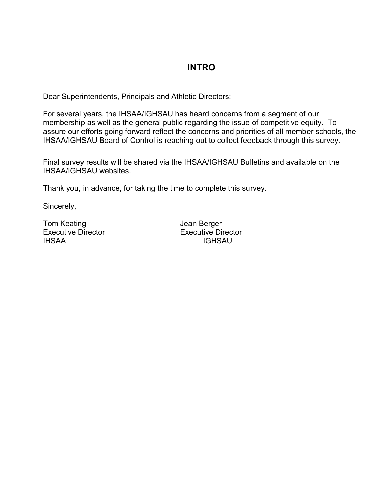# **INTRO**

Dear Superintendents, Principals and Athletic Directors:

For several years, the IHSAA/IGHSAU has heard concerns from a segment of our membership as well as the general public regarding the issue of competitive equity. To assure our efforts going forward reflect the concerns and priorities of all member schools, the IHSAA/IGHSAU Board of Control is reaching out to collect feedback through this survey.

Final survey results will be shared via the IHSAA/IGHSAU Bulletins and available on the IHSAA/IGHSAU websites.

Thank you, in advance, for taking the time to complete this survey.

Sincerely,

Tom Keating Tom Keating Tom Berger

Executive Director Executive Director<br>
INSAA IGHSAU **IGHSAU**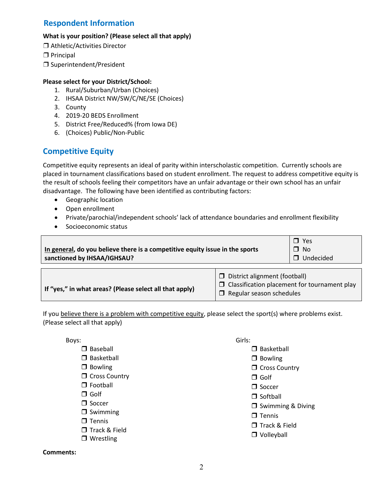# **Respondent Information**

#### **What is your position? (Please select all that apply)**

- ❒ Athletic/Activities Director
- ❒ Principal
- ❒ Superintendent/President

### **Please select for your District/School:**

- 1. Rural/Suburban/Urban (Choices)
- 2. IHSAA District NW/SW/C/NE/SE (Choices)
- 3. County
- 4. 2019-20 BEDS Enrollment
- 5. District Free/Reduced% (from Iowa DE)
- 6. (Choices) Public/Non-Public

### **Competitive Equity**

Competitive equity represents an ideal of parity within interscholastic competition. Currently schools are placed in tournament classifications based on student enrollment. The request to address competitive equity is the result of schools feeling their competitors have an unfair advantage or their own school has an unfair disadvantage. The following have been identified as contributing factors:

- Geographic location
- Open enrollment
- Private/parochial/independent schools' lack of attendance boundaries and enrollment flexibility
- Socioeconomic status

| In general, do you believe there is a competitive equity issue in the sports<br>sanctioned by IHSAA/IGHSAU? |                                 | Yes<br>$\Box$<br>$\Box$ No<br>$\Box$ Undecided |
|-------------------------------------------------------------------------------------------------------------|---------------------------------|------------------------------------------------|
|                                                                                                             |                                 |                                                |
|                                                                                                             | D District alignment (football) |                                                |

|                                                         | $\Box$ District alignment (football)                                                   |
|---------------------------------------------------------|----------------------------------------------------------------------------------------|
| If "yes," in what areas? (Please select all that apply) | $\Box$ Classification placement for tournament play<br>$\Box$ Regular season schedules |

If you believe there is a problem with competitive equity, please select the sport(s) where problems exist. (Please select all that apply)

Boys:

- □ Baseball
- □ Basketball
- $\Box$  Bowling
- $\Box$  Cross Country
- □ Football
- □ Golf
- □ Soccer
- $\Box$  Swimming
- $\Box$  Tennis
- Track & Field
- □ Wrestling

### Girls:

- □ Basketball
- □ Bowling
- **C** Cross Country
- □ Golf
- $\Box$  Soccer
- $\Box$  Softball
- $\square$  Swimming & Diving
- $\Box$  Tennis
- □ Track & Field
- **D** Volleyball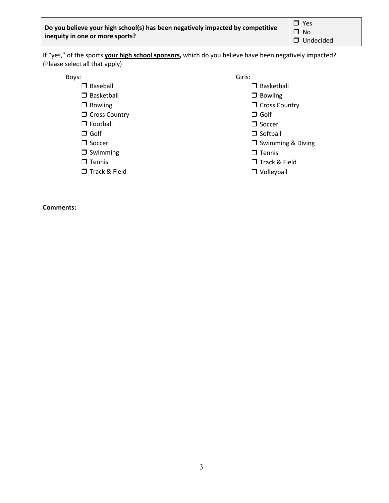□ Yes  $\square$  No **Undecided** 

If "yes," of the sports **your high school sponsors,** which do you believe have been negatively impacted? (Please select all that apply)

Boys:

- **D** Baseball
- □ Basketball
- $\Box$  Bowling
- **Cross Country**
- □ Football
- Golf
- □ Soccer
- $\Box$  Swimming
- $\Box$  Tennis
- Track & Field

- Girls:
	- $\square$  Basketball
	- $\square$  Bowling
	- $\Box$  Cross Country
	- Golf
	- $\Box$  Soccer
	- $\Box$  Softball
	- **J** Swimming & Diving
	- $\Box$  Tennis
	- Track & Field
	- **D** Volleyball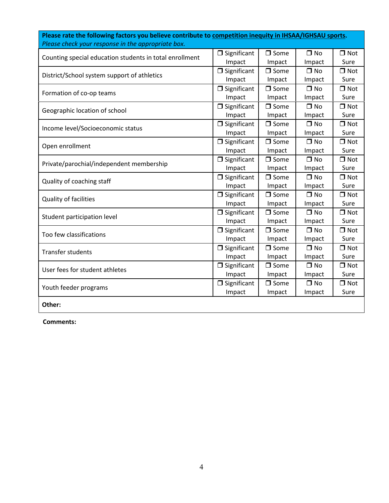| Please check your response in the appropriate box.      |                    |                |              |            |
|---------------------------------------------------------|--------------------|----------------|--------------|------------|
| Counting special education students in total enrollment | $\Box$ Significant | $\square$ Some | $\Box$ No    | $\Box$ Not |
|                                                         | Impact             | Impact         | Impact       | Sure       |
| District/School system support of athletics             | $\Box$ Significant | $\square$ Some | $\Box$ No    | $\Box$ Not |
|                                                         | Impact             | Impact         | Impact       | Sure       |
| Formation of co-op teams                                | $\Box$ Significant | $\square$ Some | $\square$ No | $\Box$ Not |
|                                                         | Impact             | Impact         | Impact       | Sure       |
| Geographic location of school                           | $\Box$ Significant | $\square$ Some | $\Box$ No    | $\Box$ Not |
|                                                         | Impact             | Impact         | Impact       | Sure       |
| Income level/Socioeconomic status                       | $\Box$ Significant | $\Box$ Some    | $\square$ No | $\Box$ Not |
|                                                         | Impact             | Impact         | Impact       | Sure       |
| Open enrollment                                         | $\Box$ Significant | $\Box$ Some    | $\square$ No | $\Box$ Not |
|                                                         | Impact             | Impact         | Impact       | Sure       |
| Private/parochial/independent membership                | $\Box$ Significant | $\square$ Some | $\square$ No | $\Box$ Not |
|                                                         | Impact             | Impact         | Impact       | Sure       |
| Quality of coaching staff                               | $\Box$ Significant | $\Box$ Some    | $\Box$ No    | $\Box$ Not |
|                                                         | Impact             | Impact         | Impact       | Sure       |
| Quality of facilities                                   | $\Box$ Significant | $\square$ Some | $\square$ No | $\Box$ Not |
|                                                         | Impact             | Impact         | Impact       | Sure       |
| Student participation level                             | $\Box$ Significant | $\Box$ Some    | $\square$ No | $\Box$ Not |
|                                                         | Impact             | Impact         | Impact       | Sure       |
| Too few classifications                                 | $\Box$ Significant | $\square$ Some | $\square$ No | $\Box$ Not |
|                                                         | Impact             | Impact         | Impact       | Sure       |
| <b>Transfer students</b>                                | $\Box$ Significant | $\Box$ Some    | $\square$ No | $\Box$ Not |
|                                                         | Impact             | Impact         | Impact       | Sure       |
| User fees for student athletes                          | $\Box$ Significant | $\Box$ Some    | $\Box$ No    | $\Box$ Not |
|                                                         | Impact             | Impact         | Impact       | Sure       |
| Youth feeder programs                                   | $\Box$ Significant | $\Box$ Some    | $\Box$ No    | $\Box$ Not |
|                                                         | Impact             | Impact         | Impact       | Sure       |
| Other:                                                  |                    |                |              |            |

**Please rate the following factors you believe contribute to competition inequity in IHSAA/IGHSAU sports.**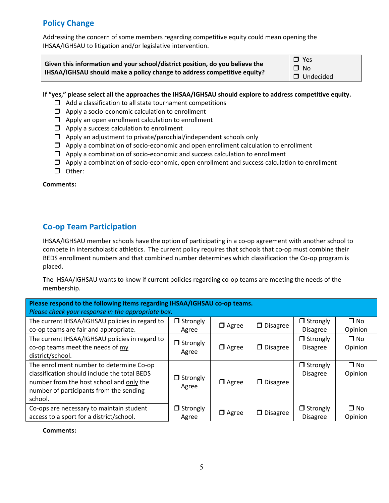# **Policy Change**

Addressing the concern of some members regarding competitive equity could mean opening the IHSAA/IGHSAU to litigation and/or legislative intervention.

| Given this information and your school/district position, do you believe the | $\Box$ Yes  |  |  |
|------------------------------------------------------------------------------|-------------|--|--|
|                                                                              | $\Box$ No   |  |  |
| IHSAA/IGHSAU should make a policy change to address competitive equity?      | □ Undecided |  |  |

#### **If "yes," please select all the approaches the IHSAA/IGHSAU should explore to address competitive equity.**

- $\Box$  Add a classification to all state tournament competitions
- $\Box$  Apply a socio-economic calculation to enrollment
- $\Box$  Apply an open enrollment calculation to enrollment
- $\Box$  Apply a success calculation to enrollment
- $\square$  Apply an adjustment to private/parochial/independent schools only
- $\Box$  Apply a combination of socio-economic and open enrollment calculation to enrollment
- $\Box$  Apply a combination of socio-economic and success calculation to enrollment
- $\Box$  Apply a combination of socio-economic, open enrollment and success calculation to enrollment
- Other:

#### **Comments:**

# **Co-op Team Participation**

IHSAA/IGHSAU member schools have the option of participating in a co-op agreement with another school to compete in interscholastic athletics. The current policy requires that schools that co-op must combine their BEDS enrollment numbers and that combined number determines which classification the Co-op program is placed.

The IHSAA/IGHSAU wants to know if current policies regarding co-op teams are meeting the needs of the membership.

| Please respond to the following items regarding IHSAA/IGHSAU co-op teams. |                 |              |                 |                 |              |  |  |
|---------------------------------------------------------------------------|-----------------|--------------|-----------------|-----------------|--------------|--|--|
| Please check your response in the appropriate box.                        |                 |              |                 |                 |              |  |  |
| The current IHSAA/IGHSAU policies in regard to                            | $\Box$ Strongly |              | $\Box$ Disagree | $\Box$ Strongly | $\square$ No |  |  |
| co-op teams are fair and appropriate.                                     | Agree           | $\Box$ Agree |                 | <b>Disagree</b> | Opinion      |  |  |
| The current IHSAA/IGHSAU policies in regard to                            | $\Box$ Strongly |              |                 | $\Box$ Strongly | $\square$ No |  |  |
| co-op teams meet the needs of my                                          |                 | $\Box$ Agree | $\Box$ Disagree | <b>Disagree</b> | Opinion      |  |  |
| district/school.                                                          | Agree           |              |                 |                 |              |  |  |
| The enrollment number to determine Co-op                                  |                 |              |                 | $\Box$ Strongly | $\square$ No |  |  |
| classification should include the total BEDS                              | $\Box$ Strongly |              |                 | Disagree        | Opinion      |  |  |
| number from the host school and only the                                  |                 | $\Box$ Agree | $\Box$ Disagree |                 |              |  |  |
| number of participants from the sending                                   | Agree           |              |                 |                 |              |  |  |
| school.                                                                   |                 |              |                 |                 |              |  |  |
| Co-ops are necessary to maintain student                                  | $\Box$ Strongly |              |                 | $\Box$ Strongly | $\square$ No |  |  |
| access to a sport for a district/school.                                  | Agree           | $\Box$ Agree | $\Box$ Disagree | <b>Disagree</b> | Opinion      |  |  |